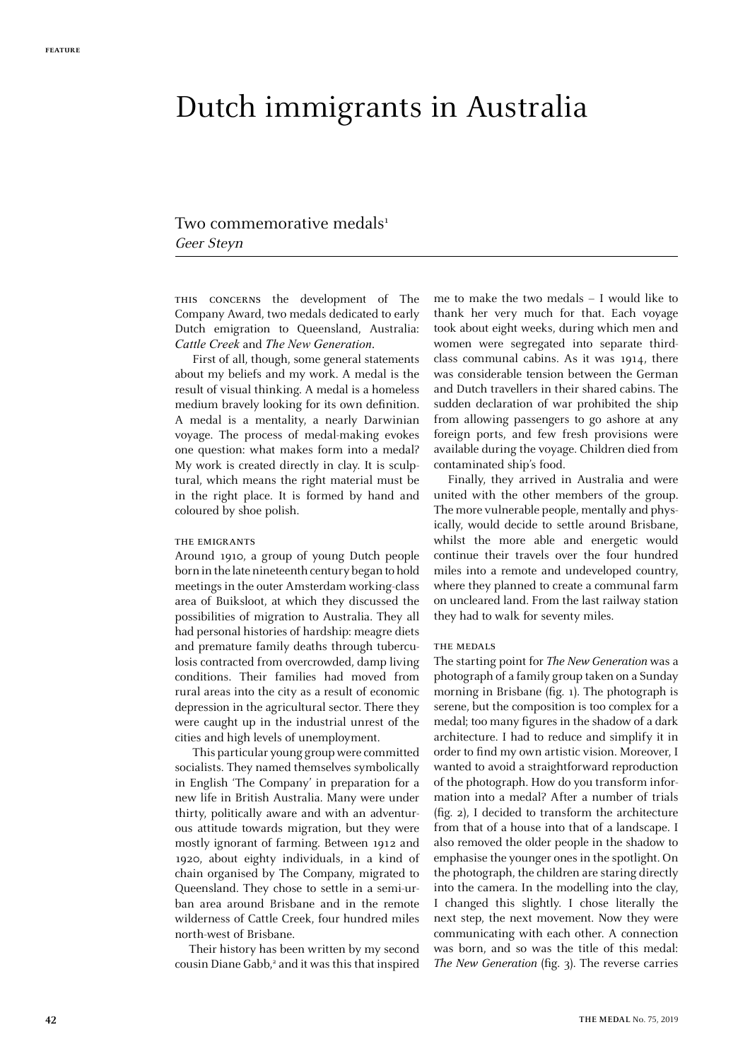# Dutch immigrants in Australia

# Two commemorative medals<sup>1</sup> Geer Steyn

this concerns the development of The Company Award, two medals dedicated to early Dutch emigration to Queensland, Australia: *Cattle Creek* and *The New Generation*.

First of all, though, some general statements about my beliefs and my work. A medal is the result of visual thinking. A medal is a homeless medium bravely looking for its own definition. A medal is a mentality, a nearly Darwinian voyage. The process of medal-making evokes one question: what makes form into a medal? My work is created directly in clay. It is sculptural, which means the right material must be in the right place. It is formed by hand and coloured by shoe polish.

#### THE EMIGRANTS

Around 1910, a group of young Dutch people born in the late nineteenth century began to hold meetings in the outer Amsterdam working-class area of Buiksloot, at which they discussed the possibilities of migration to Australia. They all had personal histories of hardship: meagre diets and premature family deaths through tuberculosis contracted from overcrowded, damp living conditions. Their families had moved from rural areas into the city as a result of economic depression in the agricultural sector. There they were caught up in the industrial unrest of the cities and high levels of unemployment.

This particular young group were committed socialists. They named themselves symbolically in English 'The Company' in preparation for a new life in British Australia. Many were under thirty, politically aware and with an adventurous attitude towards migration, but they were mostly ignorant of farming. Between 1912 and 1920, about eighty individuals, in a kind of chain organised by The Company, migrated to Queensland. They chose to settle in a semi-urban area around Brisbane and in the remote wilderness of Cattle Creek, four hundred miles north-west of Brisbane.

Their history has been written by my second cousin Diane Gabb,<sup>2</sup> and it was this that inspired me to make the two medals – I would like to thank her very much for that. Each voyage took about eight weeks, during which men and women were segregated into separate thirdclass communal cabins. As it was 1914, there was considerable tension between the German and Dutch travellers in their shared cabins. The sudden declaration of war prohibited the ship from allowing passengers to go ashore at any foreign ports, and few fresh provisions were available during the voyage. Children died from contaminated ship's food.

Finally, they arrived in Australia and were united with the other members of the group. The more vulnerable people, mentally and physically, would decide to settle around Brisbane, whilst the more able and energetic would continue their travels over the four hundred miles into a remote and undeveloped country, where they planned to create a communal farm on uncleared land. From the last railway station they had to walk for seventy miles.

#### THE MEDALS

The starting point for *The New Generation* was a photograph of a family group taken on a Sunday morning in Brisbane (fig. 1). The photograph is serene, but the composition is too complex for a medal; too many figures in the shadow of a dark architecture. I had to reduce and simplify it in order to find my own artistic vision. Moreover, I wanted to avoid a straightforward reproduction of the photograph. How do you transform information into a medal? After a number of trials (fig. 2), I decided to transform the architecture from that of a house into that of a landscape. I also removed the older people in the shadow to emphasise the younger ones in the spotlight. On the photograph, the children are staring directly into the camera. In the modelling into the clay, I changed this slightly. I chose literally the next step, the next movement. Now they were communicating with each other. A connection was born, and so was the title of this medal: *The New Generation* (fig. 3). The reverse carries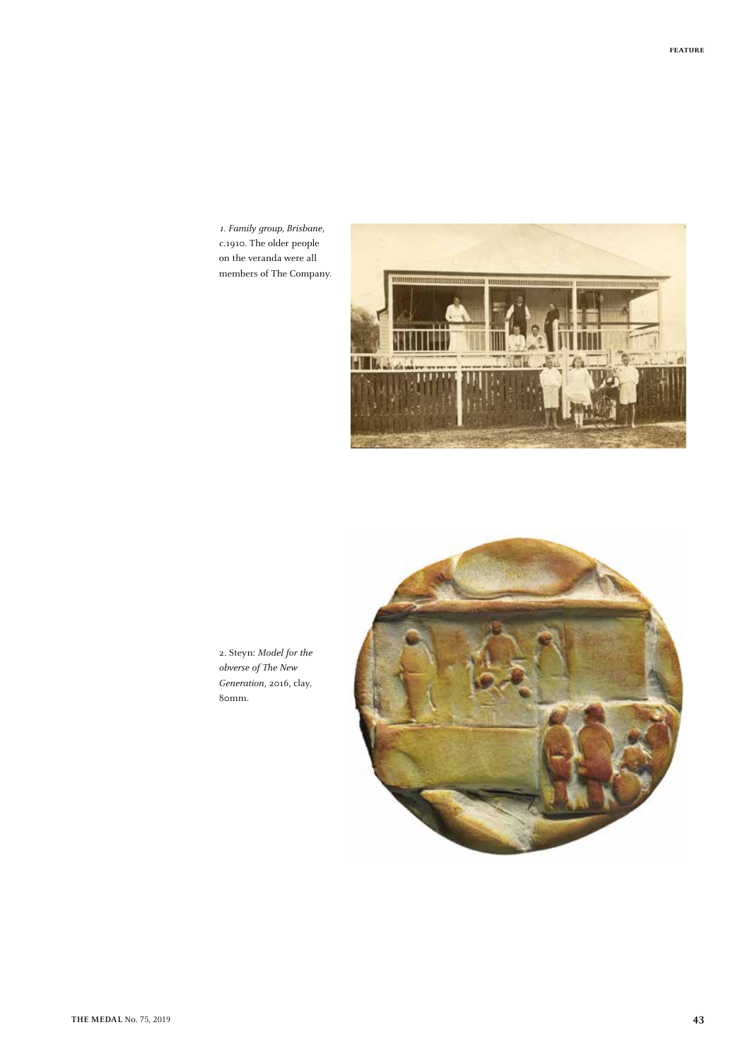*1. Family group, Brisbane*, *c*.1910. The older people on the veranda were all members of The Company.



2. Steyn: *Model for the obverse of The New Generation*, 2016, clay, 80mm.

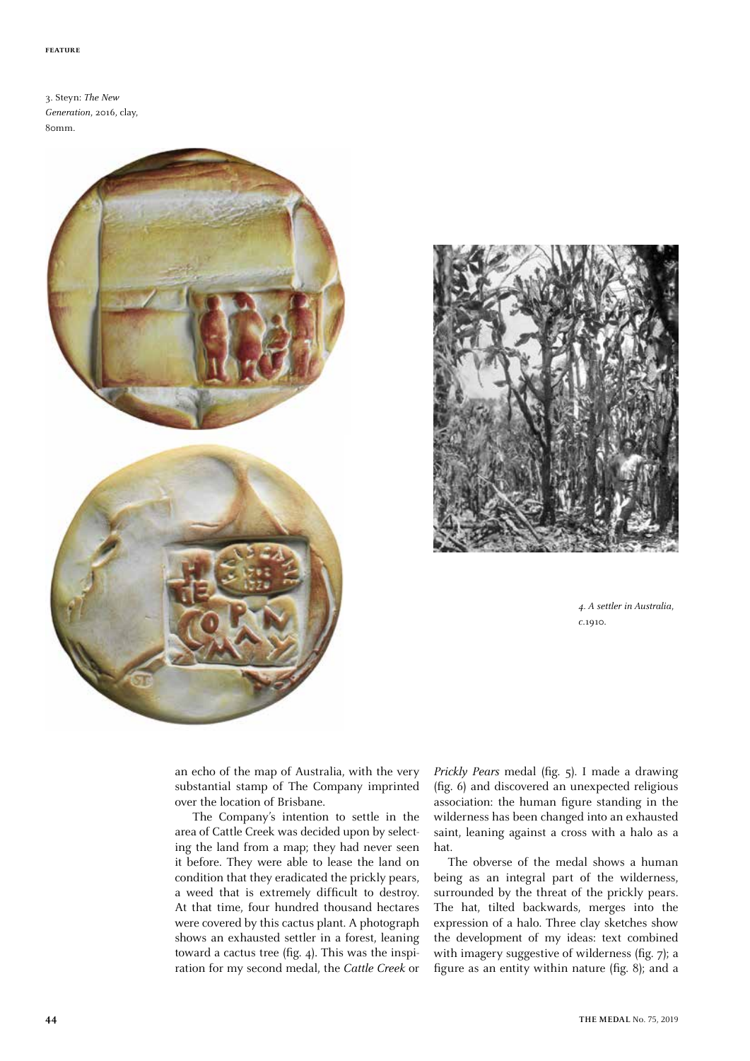3. Steyn: *The New Generation*, 2016, clay, 80mm.





*4. A settler in Australia*, *c*.1910.

an echo of the map of Australia, with the very substantial stamp of The Company imprinted over the location of Brisbane.

The Company's intention to settle in the area of Cattle Creek was decided upon by selecting the land from a map; they had never seen it before. They were able to lease the land on condition that they eradicated the prickly pears, a weed that is extremely difficult to destroy. At that time, four hundred thousand hectares were covered by this cactus plant. A photograph shows an exhausted settler in a forest, leaning toward a cactus tree (fig. 4). This was the inspiration for my second medal, the *Cattle Creek* or *Prickly Pears* medal (fig. 5). I made a drawing (fig. 6) and discovered an unexpected religious association: the human figure standing in the wilderness has been changed into an exhausted saint, leaning against a cross with a halo as a hat.

The obverse of the medal shows a human being as an integral part of the wilderness, surrounded by the threat of the prickly pears. The hat, tilted backwards, merges into the expression of a halo. Three clay sketches show the development of my ideas: text combined with imagery suggestive of wilderness (fig. 7); a figure as an entity within nature (fig. 8); and a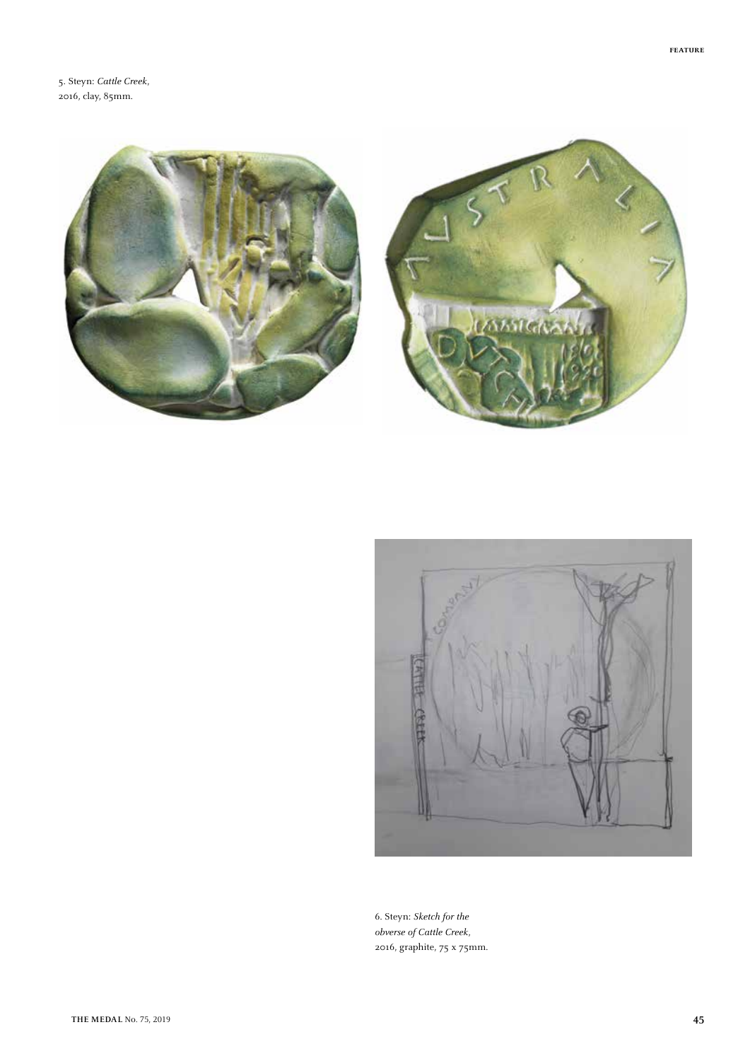5. Steyn: *Cattle Creek*, 2016, clay, 85mm.







6. Steyn: *Sketch for the obverse of Cattle Creek*, 2016, graphite, 75 x 75mm.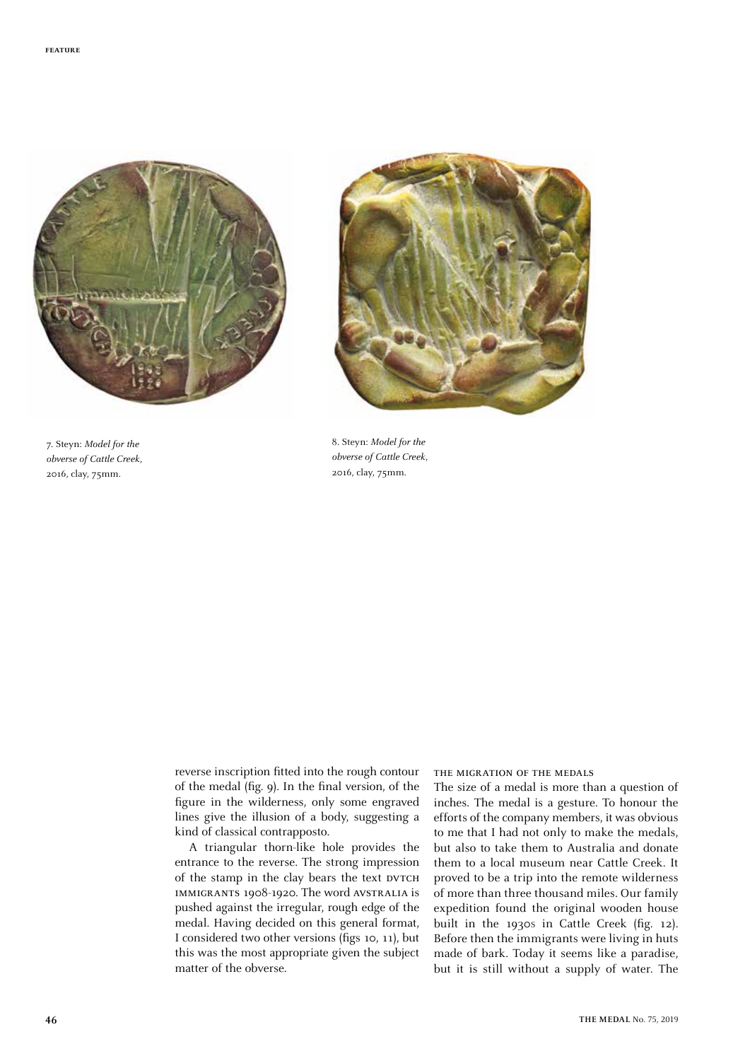

7. Steyn: *Model for the obverse of Cattle Creek*, 2016, clay, 75mm.



8. Steyn: *Model for the obverse of Cattle Creek*, 2016, clay, 75mm.

reverse inscription fitted into the rough contour of the medal (fig. 9). In the final version, of the figure in the wilderness, only some engraved lines give the illusion of a body, suggesting a kind of classical contrapposto.

A triangular thorn-like hole provides the entrance to the reverse. The strong impression of the stamp in the clay bears the text DVTCH immigrants 1908-1920. The word avstralia is pushed against the irregular, rough edge of the medal. Having decided on this general format, I considered two other versions (figs 10, 11), but this was the most appropriate given the subject matter of the obverse.

## the migration of the medals

The size of a medal is more than a question of inches. The medal is a gesture. To honour the efforts of the company members, it was obvious to me that I had not only to make the medals, but also to take them to Australia and donate them to a local museum near Cattle Creek. It proved to be a trip into the remote wilderness of more than three thousand miles. Our family expedition found the original wooden house built in the 1930s in Cattle Creek (fig. 12). Before then the immigrants were living in huts made of bark. Today it seems like a paradise, but it is still without a supply of water. The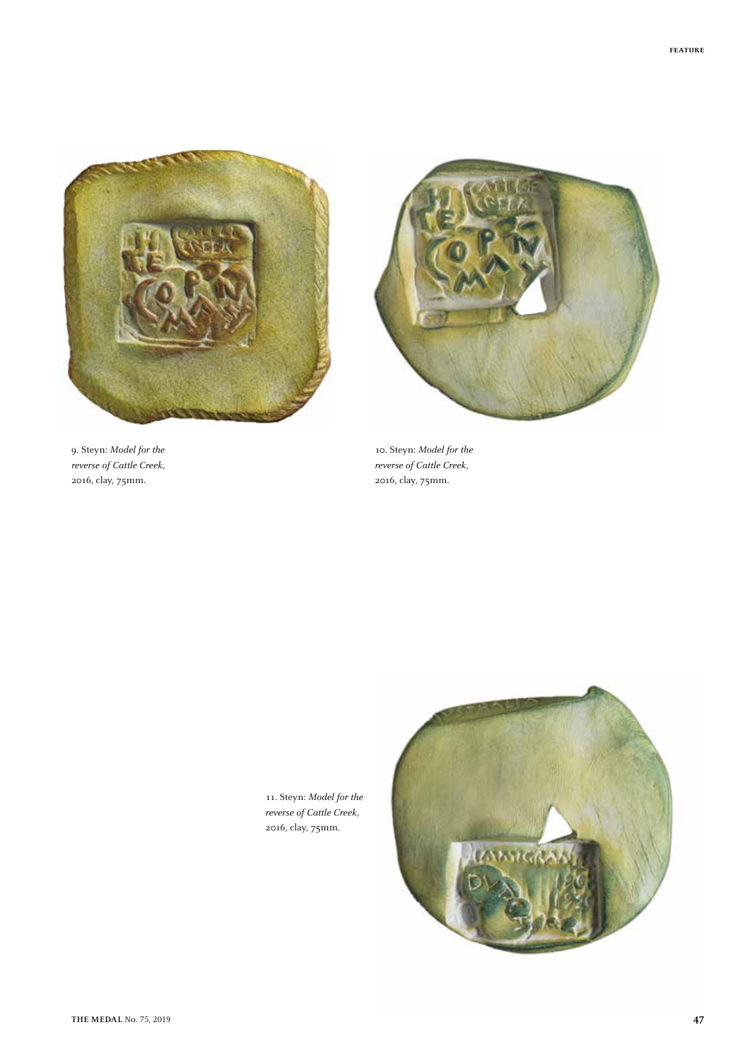

9. Steyn: *Model for the reverse of Cattle Creek*, 2016, clay, 75mm.



10. Steyn: *Model for the reverse of Cattle Creek*, 2016, clay, 75mm.

11. Steyn: *Model for the reverse of Cattle Creek*, 2016, clay, 75mm.

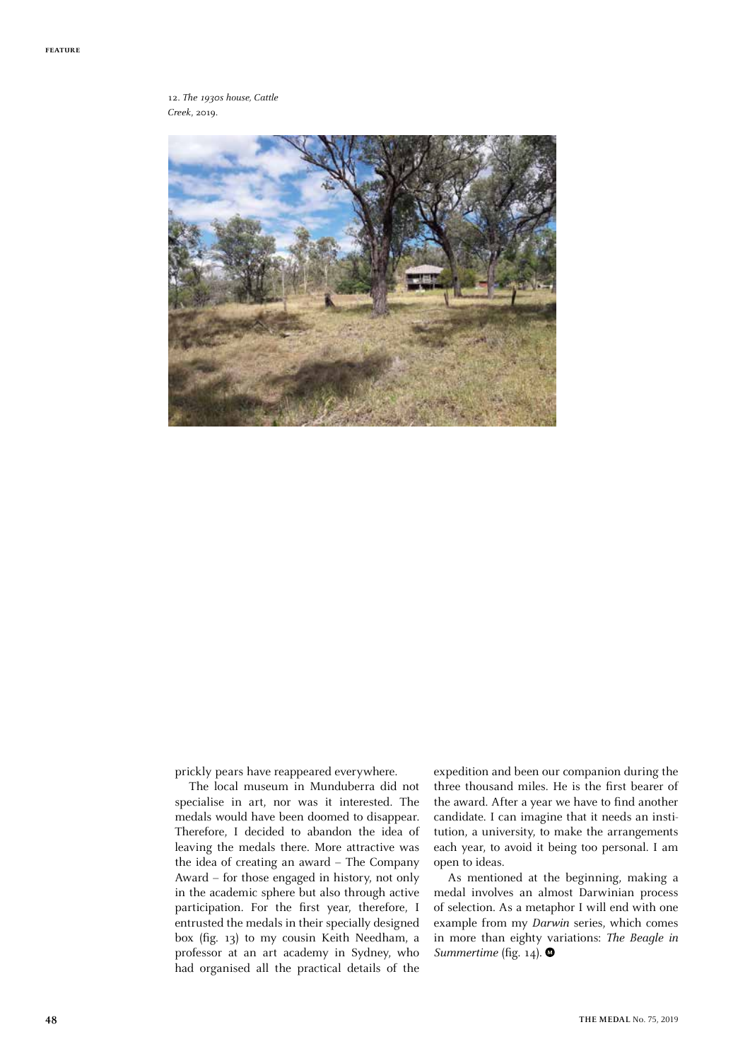12. *The 1930s house, Cattle Creek*, 2019.



prickly pears have reappeared everywhere.

The local museum in Munduberra did not specialise in art, nor was it interested. The medals would have been doomed to disappear. Therefore, I decided to abandon the idea of leaving the medals there. More attractive was the idea of creating an award – The Company Award – for those engaged in history, not only in the academic sphere but also through active participation. For the first year, therefore, I entrusted the medals in their specially designed box (fig. 13) to my cousin Keith Needham, a professor at an art academy in Sydney, who had organised all the practical details of the expedition and been our companion during the three thousand miles. He is the first bearer of the award. After a year we have to find another candidate. I can imagine that it needs an institution, a university, to make the arrangements each year, to avoid it being too personal. I am open to ideas.

As mentioned at the beginning, making a medal involves an almost Darwinian process of selection. As a metaphor I will end with one example from my *Darwin* series, which comes in more than eighty variations: *The Beagle in Summertime* (fig. 14).